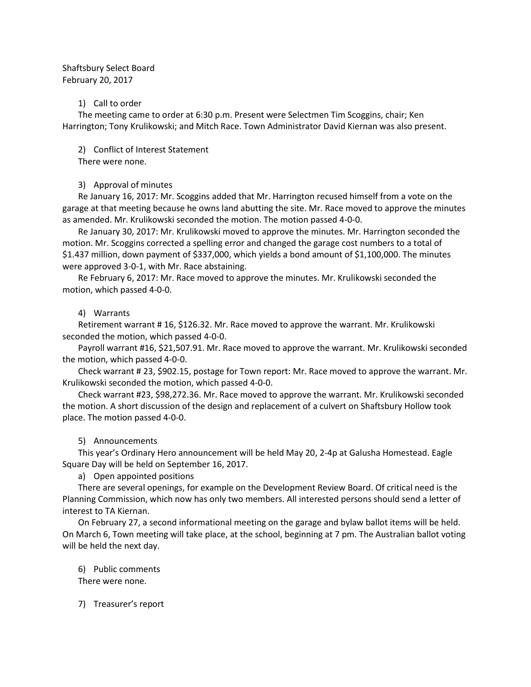# Shaftsbury Select Board February 20, 2017

#### 1) Call to order

The meeting came to order at 6:30 p.m. Present were Selectmen Tim Scoggins, chair; Ken Harrington; Tony Krulikowski; and Mitch Race. Town Administrator David Kiernan was also present.

2) Conflict of Interest Statement

There were none.

# 3) Approval of minutes

Re January 16, 2017: Mr. Scoggins added that Mr. Harrington recused himself from a vote on the garage at that meeting because he owns land abutting the site. Mr. Race moved to approve the minutes as amended. Mr. Krulikowski seconded the motion. The motion passed 4-0-0.

Re January 30, 2017: Mr. Krulikowski moved to approve the minutes. Mr. Harrington seconded the motion. Mr. Scoggins corrected a spelling error and changed the garage cost numbers to a total of \$1.437 million, down payment of \$337,000, which yields a bond amount of \$1,100,000. The minutes were approved 3-0-1, with Mr. Race abstaining.

Re February 6, 2017: Mr. Race moved to approve the minutes. Mr. Krulikowski seconded the motion, which passed 4-0-0.

# 4) Warrants

Retirement warrant # 16, \$126.32. Mr. Race moved to approve the warrant. Mr. Krulikowski seconded the motion, which passed 4-0-0.

Payroll warrant #16, \$21,507.91. Mr. Race moved to approve the warrant. Mr. Krulikowski seconded the motion, which passed 4-0-0.

Check warrant # 23, \$902.15, postage for Town report: Mr. Race moved to approve the warrant. Mr. Krulikowski seconded the motion, which passed 4-0-0.

Check warrant #23, \$98,272.36. Mr. Race moved to approve the warrant. Mr. Krulikowski seconded the motion. A short discussion of the design and replacement of a culvert on Shaftsbury Hollow took place. The motion passed 4-0-0.

# 5) Announcements

This year's Ordinary Hero announcement will be held May 20, 2-4p at Galusha Homestead. Eagle Square Day will be held on September 16, 2017.

a) Open appointed positions

There are several openings, for example on the Development Review Board. Of critical need is the Planning Commission, which now has only two members. All interested persons should send a letter of interest to TA Kiernan.

On February 27, a second informational meeting on the garage and bylaw ballot items will be held. On March 6, Town meeting will take place, at the school, beginning at 7 pm. The Australian ballot voting will be held the next day.

6) Public comments There were none.

7) Treasurer's report